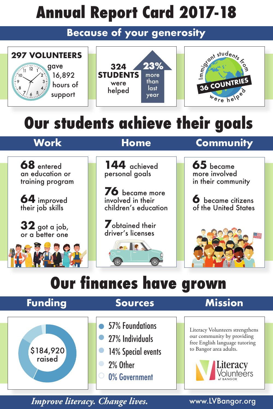# **Annual Report Card 2017-18**

### **Because of your generosity**



## **Our students achieve their goals**

**68** entered an education or training program

**64** improved their job skills

**32** got a job, or a better one

**144** achieved personal goals

**76** became more involved in their children's education

**7**obtained their driver's licenses

**MONTEN** 

## **Work Home Community**

**65** became more involved in their community

**6** became citizens of the United States



## **Our finances have grown**

## **Funding Sources Mission**

\$184,920 raised

- 57% Foundations
- 27% Individuals  $\bullet$  .
	- 14% Special events
	- 2% Other
	- 0% Government

Literacy Volunteers strengthens our community by providing free English language tutoring to Bangor area adults.



*Improve literacy. Change lives.* www.LVBangor.org